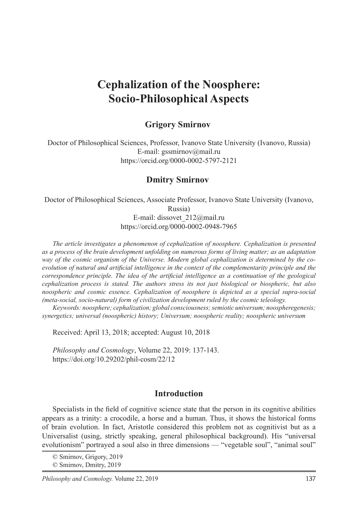# **Cephalization of the Noosphere: Socio-Philosophical Aspects**

## **Grigory Smirnov**

Doctor of Philosophical Sciences, Professor, Ivanovo State University (Ivanovo, Russia) E-mail: gssmirnov@mail.ru https://orcid.org/0000-0002-5797-2121

#### **Dmitry Smirnov**

Doctor of Philosophical Sciences, Associate Professor, Ivanovo State University (Ivanovo,

Russia)

E-mail: dissovet\_212@mail.ru https://orcid.org/0000-0002-0948-7965

*The article investigates a phenomenon of cephalization of noosphere. Cephalization is presented as a process of the brain development unfolding on numerous forms of living matter; as an adaptation way of the cosmic organism of the Universe. Modern global cephalization is determined by the coevolution of natural and artificial intelligence in the context of the complementarity principle and the correspondence principle. The idea of the artificial intelligence as a continuation of the geological cephalization process is stated. The authors stress its not just biological or biospheric, but also noospheric and cosmic essence. Cephalization of noosphere is depicted as a special supra-social (meta-social, socio-natural) form of civilization development ruled by the cosmic teleology.*

*Keywords: noosphere; cephalization; global consciousness; semiotic universum; noospheregenesis; synergetics; universal (noospheric) history; Universum; noospheric reality; noospheric universum*

Received: April 13, 2018; accepted: August 10, 2018

*Philosophy and Cosmology*, Volume 22, 2019: 137-143. https://doi.org/10.29202/phil-cosm/22/12

#### **Introduction**

Specialists in the field of cognitive science state that the person in its cognitive abilities appears as a trinity: a crocodile, a horse and a human. Thus, it shows the historical forms of brain evolution. In fact, Aristotle considered this problem not as cognitivist but as a Universalist (using, strictly speaking, general philosophical background). His "universal evolutionism" portrayed a soul also in three dimensions — "vegetable soul", "animal soul"

<sup>©</sup> Smirnov, Grigory, 2019

<sup>©</sup> Smirnov, Dmitry, 2019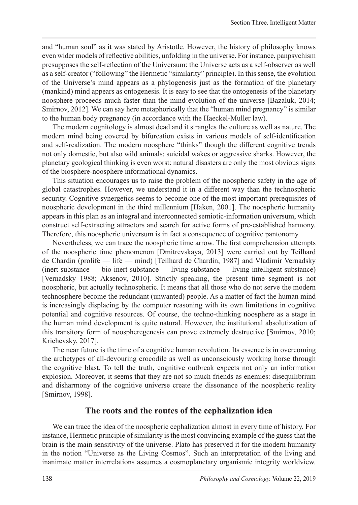and "human soul" as it was stated by Aristotle. However, the history of philosophy knows even wider models of reflective abilities, unfolding in the universe. For instance, panpsychism presupposes the self-reflection of the Universum: the Universe acts as a self-observer as well as a self-creator ("following" the Hermetic "similarity" principle). In this sense, the evolution of the Universe's mind appears as a phylogenesis just as the formation of the planetary (mankind) mind appears as ontogenesis. It is easy to see that the ontogenesis of the planetary noosphere proceeds much faster than the mind evolution of the universe [Bazaluk, 2014; Smirnov, 2012]. We can say here metaphorically that the "human mind pregnancy" is similar to the human body pregnancy (in accordance with the Haeckel-Muller law).

The modern cognitology is almost dead and it strangles the culture as well as nature. The modern mind being covered by bifurcation exists in various models of self-identification and self-realization. The modern noosphere "thinks" though the different cognitive trends not only domestic, but also wild animals: suicidal wakes or aggressive sharks. However, the planetary geological thinking is even worst: natural disasters are only the most obvious signs of the biosphere-noosphere informational dynamics.

This situation encourages us to raise the problem of the noospheric safety in the age of global catastrophes. However, we understand it in a different way than the technospheric security. Cognitive synergetics seems to become one of the most important prerequisites of noospheric development in the third millennium [Haken, 2001]. The noospheric humanity appears in this plan as an integral and interconnected semiotic-information universum, which construct self-extracting attractors and search for active forms of pre-established harmony. Therefore, this noospheric universum is in fact a consequence of cognitive pantonomy.

Nevertheless, we can trace the noospheric time arrow. The first comprehension attempts of the noospheric time phenomenon [Dmitrevskaya, 2013] were carried out by Teilhard de Chardin (prolife — life — mind) [Teilhard de Chardin, 1987] and Vladimir Vernadsky (inert substance — bio-inert substance — living substance — living intelligent substance) [Vernadsky 1988; Aksenov, 2010]. Strictly speaking, the present time segment is not noospheric, but actually technospheric. It means that all those who do not serve the modern technosphere become the redundant (unwanted) people. As a matter of fact the human mind is increasingly displacing by the computer reasoning with its own limitations in cognitive potential and cognitive resources. Of course, the techno-thinking noosphere as a stage in the human mind development is quite natural. However, the institutional absolutization of this transitory form of noospheregenesis can prove extremely destructive [Smirnov, 2010; Krichevsky, 2017].

The near future is the time of a cognitive human revolution. Its essence is in overcoming the archetypes of all-devouring crocodile as well as unconsciously working horse through the cognitive blast. To tell the truth, cognitive outbreak expects not only an information explosion. Moreover, it seems that they are not so much friends as enemies: disequilibrium and disharmony of the cognitive universe create the dissonance of the noospheric reality [Smirnov, 1998].

## **The roots and the routes of the cephalization idea**

We can trace the idea of the noospheric cephalization almost in every time of history. For instance, Hermetic principle of similarity is the most convincing example of the guess that the brain is the main sensitivity of the universe. Plato has preserved it for the modern humanity in the notion "Universe as the Living Cosmos". Such an interpretation of the living and inanimate matter interrelations assumes a cosmoplanetary organismic integrity worldview.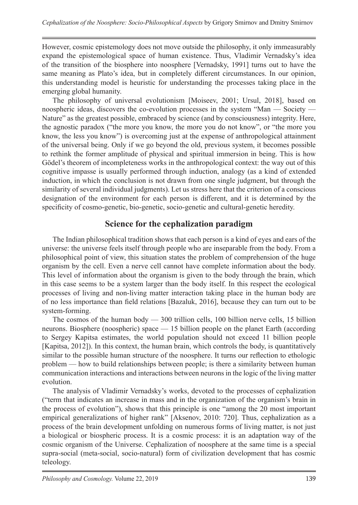However, cosmic epistemology does not move outside the philosophy, it only immeasurably expand the epistemological space of human existence. Thus, Vladimir Vernadsky's idea of the transition of the biosphere into noosphere [Vernadsky, 1991] turns out to have the same meaning as Plato's idea, but in completely different circumstances. In our opinion, this understanding model is heuristic for understanding the processes taking place in the emerging global humanity.

The philosophy of universal evolutionism [Moiseev, 2001; Ursul, 2018], based on noospheric ideas, discovers the co-evolution processes in the system "Man — Society — Nature" as the greatest possible, embraced by science (and by consciousness) integrity. Here, the agnostic paradox ("the more you know, the more you do not know", or "the more you know, the less you know") is overcoming just at the expense of anthropological attainment of the universal being. Only if we go beyond the old, previous system, it becomes possible to rethink the former amplitude of physical and spiritual immersion in being. This is how Gödel's theorem of incompleteness works in the anthropological context: the way out of this cognitive impasse is usually performed through induction, analogy (as a kind of extended induction, in which the conclusion is not drawn from one single judgment, but through the similarity of several individual judgments). Let us stress here that the criterion of a conscious designation of the environment for each person is different, and it is determined by the specificity of cosmo-genetic, bio-genetic, socio-genetic and cultural-genetic heredity.

# **Science for the cephalization paradigm**

The Indian philosophical tradition shows that each person is a kind of eyes and ears of the universe: the universe feels itself through people who are inseparable from the body. From a philosophical point of view, this situation states the problem of comprehension of the huge organism by the cell. Even a nerve cell cannot have complete information about the body. This level of information about the organism is given to the body through the brain, which in this case seems to be a system larger than the body itself. In this respect the ecological processes of living and non-living matter interaction taking place in the human body are of no less importance than field relations [Bazaluk, 2016], because they can turn out to be system-forming.

The cosmos of the human body — 300 trillion cells, 100 billion nerve cells, 15 billion neurons. Biosphere (noospheric) space — 15 billion people on the planet Earth (according to Sergey Kapitsa estimates, the world population should not exceed 11 billion people [Kapitsa, 2012]). In this context, the human brain, which controls the body, is quantitatively similar to the possible human structure of the noosphere. It turns our reflection to ethologic problem — how to build relationships between people; is there a similarity between human communication interactions and interactions between neurons in the logic of the living matter evolution.

The analysis of Vladimir Vernadsky's works, devoted to the processes of cephalization ("term that indicates an increase in mass and in the organization of the organism's brain in the process of evolution"), shows that this principle is one "among the 20 most important empirical generalizations of higher rank" [Aksenov, 2010: 720]. Thus, cephalization as a process of the brain development unfolding on numerous forms of living matter, is not just a biological or biospheric process. It is a cosmic process: it is an adaptation way of the cosmic organism of the Universe. Cephalization of noosphere at the same time is a special supra-social (meta-social, socio-natural) form of civilization development that has cosmic teleology.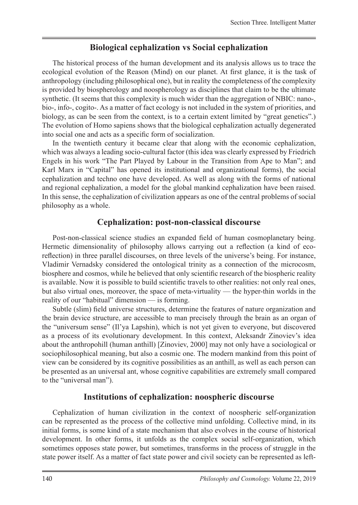#### **Biological cephalization vs Social cephalization**

The historical process of the human development and its analysis allows us to trace the ecological evolution of the Reason (Mind) on our planet. At first glance, it is the task of anthropology (including philosophical one), but in reality the completeness of the complexity is provided by biospherology and noospherology as disciplines that claim to be the ultimate synthetic. (It seems that this complexity is much wider than the aggregation of NBIC: nano-, bio-, info-, cogito-. As a matter of fact ecology is not included in the system of priorities, and biology, as can be seen from the context, is to a certain extent limited by "great genetics".) The evolution of Homo sapiens shows that the biological cephalization actually degenerated into social one and acts as a specific form of socialization.

In the twentieth century it became clear that along with the economic cephalization, which was always a leading socio-cultural factor (this idea was clearly expressed by Friedrich Engels in his work "The Part Played by Labour in the Transition from Ape to Man"; and Karl Marx in "Сapital" has opened its institutional and organizational forms), the social cephalization and techno one have developed. As well as along with the forms of national and regional cephalization, a model for the global mankind cephalization have been raised. In this sense, the cephalization of civilization appears as one of the central problems of social philosophy as a whole.

#### **Cephalization: post-non-classical discourse**

Post-non-classical science studies an expanded field of human cosmoplanetary being. Hermetic dimensionality of philosophy allows carrying out a reflection (a kind of ecoreflection) in three parallel discourses, on three levels of the universe's being. For instance, Vladimir Vernadsky considered the ontological trinity as a connection of the microcosm, biosphere and cosmos, while he believed that only scientific research of the biospheric reality is available. Now it is possible to build scientific travels to other realities: not only real ones, but also virtual ones, moreover, the space of meta-virtuality — the hyper-thin worlds in the reality of our "habitual" dimension — is forming.

Subtle (slim) field universe structures, determine the features of nature organization and the brain device structure, are accessible to man precisely through the brain as an organ of the "universum sense" (Il'ya Lapshin), which is not yet given to everyone, but discovered as a process of its evolutionary development. In this context, Aleksandr Zinoviev's idea about the anthropohill (human anthill) [Zinoviev, 2000] may not only have a sociological or sociophilosophical meaning, but also a cosmic one. The modern mankind from this point of view can be considered by its cognitive possibilities as an anthill, as well as each person can be presented as an universal ant, whose cognitive capabilities are extremely small compared to the "universal man").

#### **Institutions of cephalization: noospheric discourse**

Cephalization of human civilization in the context of noospheric self-organization can be represented as the process of the collective mind unfolding. Collective mind, in its initial forms, is some kind of a state mechanism that also evolves in the course of historical development. In other forms, it unfolds as the complex social self-organization, which sometimes opposes state power, but sometimes, transforms in the process of struggle in the state power itself. As a matter of fact state power and civil society can be represented as left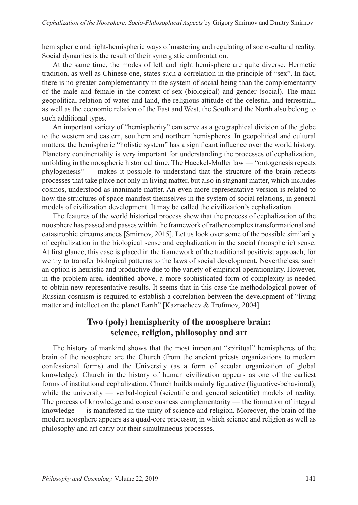hemispheric and right-hemispheric ways of mastering and regulating of socio-cultural reality. Social dynamics is the result of their synergistic confrontation.

At the same time, the modes of left and right hemisphere are quite diverse. Hermetic tradition, as well as Chinese one, states such a correlation in the principle of "sex". In fact, there is no greater complementarity in the system of social being than the complementarity of the male and female in the context of sex (biological) and gender (social). The main geopolitical relation of water and land, the religious attitude of the celestial and terrestrial, as well as the economic relation of the East and West, the South and the North also belong to such additional types.

An important variety of "hemispherity" can serve as a geographical division of the globe to the western and eastern, southern and northern hemispheres. In geopolitical and cultural matters, the hemispheric "holistic system" has a significant influence over the world history. Planetary continentality is very important for understanding the processes of cephalization, unfolding in the noospheric historical time. The Haeckel-Muller law — "ontogenesis repeats phylogenesis" — makes it possible to understand that the structure of the brain reflects processes that take place not only in living matter, but also in stagnant matter, which includes cosmos, understood as inanimate matter. An even more representative version is related to how the structures of space manifest themselves in the system of social relations, in general models of civilization development. It may be called the civilization's cephalization.

The features of the world historical process show that the process of cephalization of the noosphere has passed and passes within the framework of rather complex transformational and catastrophic circumstances [Smirnov, 2015]. Let us look over some of the possible similarity of cephalization in the biological sense and cephalization in the social (noospheric) sense. At first glance, this case is placed in the framework of the traditional positivist approach, for we try to transfer biological patterns to the laws of social development. Nevertheless, such an option is heuristic and productive due to the variety of empirical operationality. However, in the problem area, identified above, a more sophisticated form of complexity is needed to obtain new representative results. It seems that in this case the methodological power of Russian cosmism is required to establish a correlation between the development of "living matter and intellect on the planet Earth" [Kaznacheev & Trofimov, 2004].

# **Two (poly) hemispherity of the noosphere brain: science, religion, philosophy and art**

The history of mankind shows that the most important "spiritual" hemispheres of the brain of the noosphere are the Church (from the ancient priests organizations to modern confessional forms) and the University (as a form of secular organization of global knowledge). Church in the history of human civilization appears as one of the earliest forms of institutional cephalization. Church builds mainly figurative (figurative-behavioral), while the university — verbal-logical (scientific and general scientific) models of reality. The process of knowledge and consciousness complementarity — the formation of integral knowledge — is manifested in the unity of science and religion. Moreover, the brain of the modern noosphere appears as a quad-core processor, in which science and religion as well as philosophy and art carry out their simultaneous processes.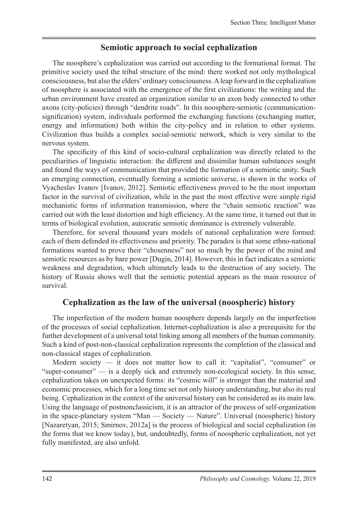#### **Semiotic approach to social cephalization**

The noosphere's cephalization was carried out according to the formational format. The primitive society used the tribal structure of the mind: there worked not only mythological consciousness, but also the elders' ordinary consciousness. A leap forward in the cephalization of noosphere is associated with the emergence of the first civilizations: the writing and the urban environment have created an organization similar to an axon body connected to other axons (city-policies) through "dendrite roads". In this noosphere-semiotic (communicationsignification) system, individuals performed the exchanging functions (exchanging matter, energy and information) both within the city-policy and in relation to other systems. Civilization thus builds a complex social-semiotic network, which is very similar to the nervous system.

The specificity of this kind of socio-cultural cephalization was directly related to the peculiarities of linguistic interaction: the different and dissimilar human substances sought and found the ways of communication that provided the formation of a semiotic unity. Such an emerging connection, eventually forming a semiotic universe, is shown in the works of Vyacheslav Ivanov [Ivanov, 2012]. Semiotic effectiveness proved to be the most important factor in the survival of civilization, while in the past the most effective were simple rigid mechanistic forms of information transmission, where the "chain semiotic reaction" was carried out with the least distortion and high efficiency. At the same time, it turned out that in terms of biological evolution, autocratic semiotic dominance is extremely vulnerable.

Therefore, for several thousand years models of national cephalization were formed: each of them defended its effectiveness and priority. The paradox is that some ethno-national formations wanted to prove their "chosenness" not so much by the power of the mind and semiotic resources as by bare power [Dugin, 2014]. However, this in fact indicates a semiotic weakness and degradation, which ultimately leads to the destruction of any society. The history of Russia shows well that the semiotic potential appears as the main resource of survival.

## **Cephalization as the law of the universal (noospheric) history**

The imperfection of the modern human noosphere depends largely on the imperfection of the processes of social cephalization. Internet-cephalization is also a prerequisite for the further development of a universal total linking among all members of the human community. Such a kind of post-non-classical cephalization represents the completion of the classical and non-classical stages of cephalization.

Modern society — it does not matter how to call it: "capitalist", "consumer" or "super-consumer" — is a deeply sick and extremely non-ecological society. In this sense, cephalization takes on unexpected forms: its "cosmic will" is stronger than the material and economic processes, which for a long time set not only history understanding, but also its real being. Cephalization in the context of the universal history can be considered as its main law. Using the language of postnonclassicism, it is an attractor of the process of self-organization in the space-planetary system "Man — Society — Nature". Universal (noospheric) history [Nazaretyan, 2015; Smirnov, 2012a] is the process of biological and social cephalization (in the forms that we know today), but, undoubtedly, forms of noospheric cephalization, not yet fully manifested, are also unfold.